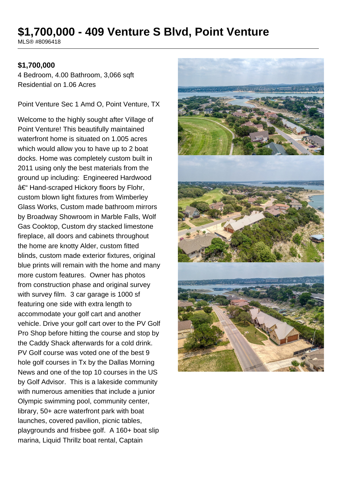# **\$1,700,000 - 409 Venture S Blvd, Point Venture**

MLS® #8096418

#### **\$1,700,000**

4 Bedroom, 4.00 Bathroom, 3,066 sqft Residential on 1.06 Acres

Point Venture Sec 1 Amd O, Point Venture, TX

Welcome to the highly sought after Village of Point Venture! This beautifully maintained waterfront home is situated on 1.005 acres which would allow you to have up to 2 boat docks. Home was completely custom built in 2011 using only the best materials from the ground up including: Engineered Hardwood – Hand-scraped Hickory floors by Flohr, custom blown light fixtures from Wimberley Glass Works, Custom made bathroom mirrors by Broadway Showroom in Marble Falls, Wolf Gas Cooktop, Custom dry stacked limestone fireplace, all doors and cabinets throughout the home are knotty Alder, custom fitted blinds, custom made exterior fixtures, original blue prints will remain with the home and many more custom features. Owner has photos from construction phase and original survey with survey film. 3 car garage is 1000 sf featuring one side with extra length to accommodate your golf cart and another vehicle. Drive your golf cart over to the PV Golf Pro Shop before hitting the course and stop by the Caddy Shack afterwards for a cold drink. PV Golf course was voted one of the best 9 hole golf courses in Tx by the Dallas Morning News and one of the top 10 courses in the US by Golf Advisor. This is a lakeside community with numerous amenities that include a junior Olympic swimming pool, community center, library, 50+ acre waterfront park with boat launches, covered pavilion, picnic tables, playgrounds and frisbee golf. A 160+ boat slip marina, Liquid Thrillz boat rental, Captain

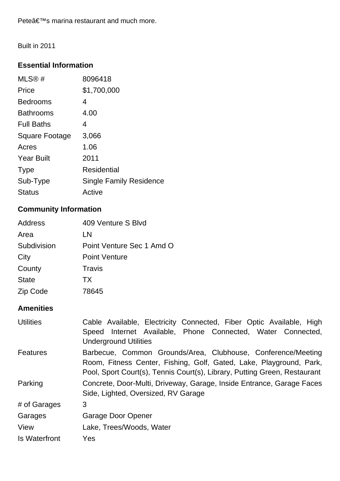Peteâ€<sup>™</sup>s marina restaurant and much more.

Built in 2011

### **Essential Information**

| MLS@#                 | 8096418                        |
|-----------------------|--------------------------------|
| Price                 | \$1,700,000                    |
| <b>Bedrooms</b>       | 4                              |
| <b>Bathrooms</b>      | 4.00                           |
| <b>Full Baths</b>     | 4                              |
| <b>Square Footage</b> | 3,066                          |
| Acres                 | 1.06                           |
| <b>Year Built</b>     | 2011                           |
| <b>Type</b>           | <b>Residential</b>             |
| Sub-Type              | <b>Single Family Residence</b> |
| <b>Status</b>         | Active                         |

# **Community Information**

| <b>Address</b> | 409 Venture S Blvd        |
|----------------|---------------------------|
| Area           | LN                        |
| Subdivision    | Point Venture Sec 1 Amd O |
| City           | <b>Point Venture</b>      |
| County         | Travis                    |
| <b>State</b>   | TX.                       |
| Zip Code       | 78645                     |

## **Amenities**

| <b>Utilities</b> | Cable Available, Electricity Connected, Fiber Optic Available, High       |  |
|------------------|---------------------------------------------------------------------------|--|
|                  | Speed Internet Available, Phone Connected, Water Connected,               |  |
|                  | <b>Underground Utilities</b>                                              |  |
| <b>Features</b>  | Barbecue, Common Grounds/Area, Clubhouse, Conference/Meeting              |  |
|                  | Room, Fitness Center, Fishing, Golf, Gated, Lake, Playground, Park,       |  |
|                  | Pool, Sport Court(s), Tennis Court(s), Library, Putting Green, Restaurant |  |
| Parking          | Concrete, Door-Multi, Driveway, Garage, Inside Entrance, Garage Faces     |  |
|                  | Side, Lighted, Oversized, RV Garage                                       |  |
| # of Garages     | 3                                                                         |  |
| Garages          | Garage Door Opener                                                        |  |
| View             | Lake, Trees/Woods, Water                                                  |  |
| Is Waterfront    | Yes                                                                       |  |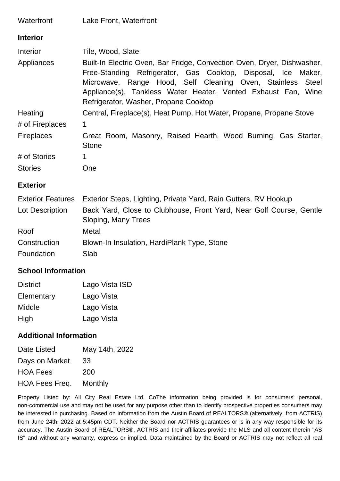| Waterfront               | Lake Front, Waterfront                                                                                                                                                                                                                                                                                                     |  |
|--------------------------|----------------------------------------------------------------------------------------------------------------------------------------------------------------------------------------------------------------------------------------------------------------------------------------------------------------------------|--|
| <b>Interior</b>          |                                                                                                                                                                                                                                                                                                                            |  |
| Interior                 | Tile, Wood, Slate                                                                                                                                                                                                                                                                                                          |  |
| Appliances               | Built-In Electric Oven, Bar Fridge, Convection Oven, Dryer, Dishwasher,<br>Free-Standing Refrigerator, Gas Cooktop, Disposal, Ice Maker,<br>Microwave, Range Hood, Self Cleaning Oven, Stainless<br><b>Steel</b><br>Appliance(s), Tankless Water Heater, Vented Exhaust Fan, Wine<br>Refrigerator, Washer, Propane Cooktop |  |
| Heating                  | Central, Fireplace(s), Heat Pump, Hot Water, Propane, Propane Stove                                                                                                                                                                                                                                                        |  |
| # of Fireplaces          | 1                                                                                                                                                                                                                                                                                                                          |  |
| <b>Fireplaces</b>        | Great Room, Masonry, Raised Hearth, Wood Burning, Gas Starter,<br><b>Stone</b>                                                                                                                                                                                                                                             |  |
| # of Stories             | 1                                                                                                                                                                                                                                                                                                                          |  |
| <b>Stories</b>           | One                                                                                                                                                                                                                                                                                                                        |  |
| <b>Exterior</b>          |                                                                                                                                                                                                                                                                                                                            |  |
| <b>Exterior Features</b> | Exterior Steps, Lighting, Private Yard, Rain Gutters, RV Hookup                                                                                                                                                                                                                                                            |  |
| Lot Description          | Back Yard, Close to Clubhouse, Front Yard, Near Golf Course, Gentle<br>Sloping, Many Trees                                                                                                                                                                                                                                 |  |
| Roof                     | Metal                                                                                                                                                                                                                                                                                                                      |  |
| Construction             | Blown-In Insulation, HardiPlank Type, Stone                                                                                                                                                                                                                                                                                |  |

Foundation Slab

### **School Information**

| <b>District</b> | Lago Vista ISD |
|-----------------|----------------|
| Elementary      | Lago Vista     |
| <b>Middle</b>   | Lago Vista     |
| High            | Lago Vista     |

### **Additional Information**

| May 14th, 2022 |
|----------------|
| 33             |
| 200            |
| Monthly        |
|                |

Property Listed by: All City Real Estate Ltd. CoThe information being provided is for consumers' personal, non-commercial use and may not be used for any purpose other than to identify prospective properties consumers may be interested in purchasing. Based on information from the Austin Board of REALTORS® (alternatively, from ACTRIS) from June 24th, 2022 at 5:45pm CDT. Neither the Board nor ACTRIS guarantees or is in any way responsible for its accuracy. The Austin Board of REALTORS®, ACTRIS and their affiliates provide the MLS and all content therein "AS IS" and without any warranty, express or implied. Data maintained by the Board or ACTRIS may not reflect all real